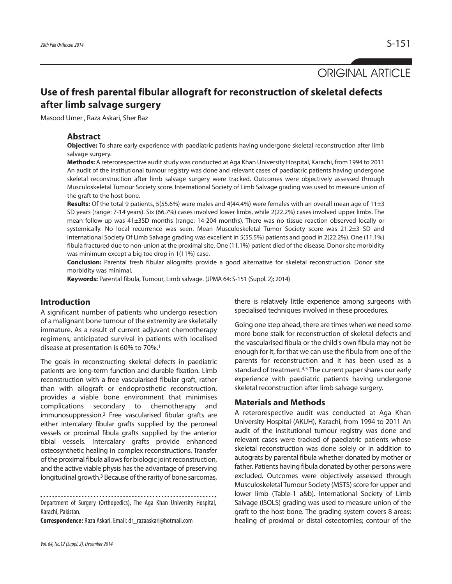ORIGINAL ARTICLE

# **Use of fresh parental fibular allograft for reconstruction of skeletal defects after limb salvage surgery**

Masood Umer , Raza Askari, Sher Baz

#### **Abstract**

**Objective:** To share early experience with paediatric patients having undergone skeletal reconstruction after limb salvage surgery.

**Methods:** A reterorespective audit study was conducted at Aga Khan University Hospital, Karachi, from 1994 to 2011 An audit of the institutional tumour registry was done and relevant cases of paediatric patients having undergone skeletal reconstruction after limb salvage surgery were tracked. Outcomes were objectively assessed through Musculoskeletal Tumour Society score. International Society of Limb Salvage grading was used to measure union of the graft to the host bone.

**Results:** Of the total 9 patients, 5(55.6%) were males and 4(44.4%) were females with an overall mean age of 11±3 SD years (range: 7-14 years). Six (66.7%) cases involved lower limbs, while 2(22.2%) cases involved upper limbs. The mean follow-up was 41±3SD months (range: 14-204 months). There was no tissue reaction observed locally or systemically. No local recurrence was seen. Mean Musculoskeletal Tumor Society score was 21.2±3 SD and International Society Of Limb Salvage grading was excellent in 5(55.5%) patients and good in 2(22.2%). One (11.1%) fibula fractured due to non-union at the proximal site. One (11.1%) patient died of the disease. Donor site morbidity was minimum except a big toe drop in 1(11%) case.

**Conclusion:** Parental fresh fibular allografts provide a good alternative for skeletal reconstruction. Donor site morbidity was minimal.

**Keywords:** Parental fibula, Tumour, Limb salvage. (JPMA 64: S-151 (Suppl. 2); 2014)

# **Introduction**

A significant number of patients who undergo resection of a malignant bone tumour of the extremity are skeletally immature. As a result of current adjuvant chemotherapy regimens, anticipated survival in patients with localised disease at presentation is 60% to 70%.<sup>1</sup>

The goals in reconstructing skeletal defects in paediatric patients are long-term function and durable fixation. Limb reconstruction with a free vascularised fibular graft, rather than with allograft or endoprosthetic reconstruction, provides a viable bone environment that minimises complications secondary to chemotherapy and immunosuppression.<sup>2</sup> Free vascularised fibular grafts are either intercalary fibular grafts supplied by the peroneal vessels or proximal fibula grafts supplied by the anterior tibial vessels. Intercalary grafts provide enhanced osteosynthetic healing in complex reconstructions. Transfer of the proximal fibula allows for biologic joint reconstruction, and the active viable physis has the advantage of preserving longitudinal growth.<sup>3</sup> Because of the rarity of bone sarcomas,

Department of Surgery (Orthopedics), The Aga Khan University Hospital, Karachi, Pakistan.

**Correspondence:** Raza Askari. Email: dr\_razaaskari@hotmail.com

Vol. 64, No.12 (Suppl. 2), December 2014

there is relatively little experience among surgeons with specialised techniques involved in these procedures.

Going one step ahead, there are times when we need some more bone stalk for reconstruction of skeletal defects and the vascularised fibula or the child's own fibula may not be enough for it, for that we can use the fibula from one of the parents for reconstruction and it has been used as a standard of treatment.<sup>4,5</sup> The current paper shares our early experience with paediatric patients having undergone skeletal reconstruction after limb salvage surgery.

#### **Materials and Methods**

A reterorespective audit was conducted at Aga Khan University Hospital (AKUH), Karachi, from 1994 to 2011 An audit of the institutional tumour registry was done and relevant cases were tracked of paediatric patients whose skeletal reconstruction was done solely or in addition to autograts by parental fibula whether donated by mother or father. Patients having fibula donated by other persons were excluded. Outcomes were objectively assessed through Musculoskeletal Tumour Society (MSTS) score for upper and lower limb (Table-1 a&b). International Society of Limb Salvage (ISOLS) grading was used to measure union of the graft to the host bone. The grading system covers 8 areas: healing of proximal or distal osteotomies; contour of the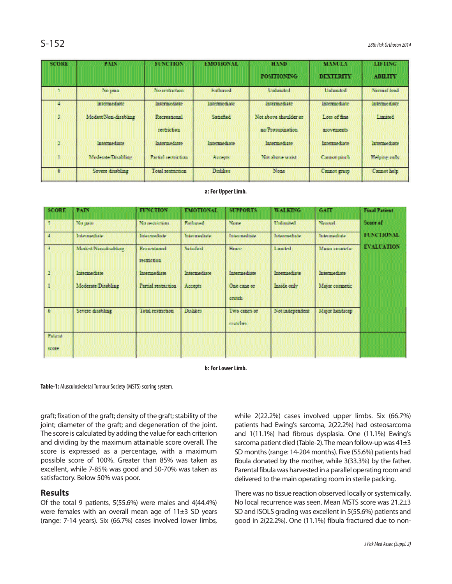| <b>SCORE</b> | <b>PAIN</b>          | <b>FUNCTION</b>             | <b>EMOTIONAL</b> | HAND                                      | <b>MANULA</b>              | LIFTING             |
|--------------|----------------------|-----------------------------|------------------|-------------------------------------------|----------------------------|---------------------|
|              |                      |                             |                  | <b>POSITIONING</b>                        | <b>DEXTERITY</b>           | <b>ABILITY</b>      |
|              | No pain              | No restriction:             | Enthused         | <b>Undonated</b>                          | Unhanted                   | Niemal bood         |
|              | intermediate         | Intermediate                | intermediate     | Intermediate                              | intermediate.              | intermediate.       |
| 3            | Modest Non-disabling | Recreational<br>restriction | Satisfied        | Not above shoulder or<br>se Propapination | Loss of fine<br>movements. | Limited             |
| $\Delta$     | Intermediate         | intermediate                | Intermediate     | Intermediate                              | Intermediate               | Intermediate        |
|              | Moderate Disablate   | Partiel inclueding          | Abbrevile.       | Not show word                             | Cannot panch               | <b>Helpour</b> mare |
| Û.           | Severe disabling     | Total restriction           | Distikes         | None:                                     | Cannot grasp               | Cannot belp         |

#### **a: For Upper Limb.**

| <b>SCORE</b>   | PAIN                 | <b>FUNCTION</b>             | <b>EMOTIONAL</b> | <b>SUPPORTS</b>           | <b>WALKING</b>  | GATT           | <b>Final Patient</b> |
|----------------|----------------------|-----------------------------|------------------|---------------------------|-----------------|----------------|----------------------|
|                | No pam-              | No probleman                | Enthusian        | <b>Nume</b>               | Undertaked.     | Neumat         | Score of             |
| $\overline{4}$ | Intermediate         | Internediste.               | Intermediate     | Intermediate              | Intermediate.   | Interpretate.  | FUNCTIONAL           |
|                | Motked/Nyn-disablate | Recreational<br>restriction | <b>Satisfied</b> | <b>Hiner</b>              | Lumbed          | Minor cosmetic | <b>EVALUATION</b>    |
| $\mathbf{2}$   | Internediate         | Intermediate.               | Intermediate     | Intermediate              | Intermediate    | Intermediate   |                      |
|                | Moderate Disabling   | Partial restriction.        | Accepts          | One cane or<br>crutch     | inside only     | Major cosmetic |                      |
| 0              | Severe disabling     | Total restriction           | Dishker.         | Iwo canes or<br>cratches. | Net independent | Major handscap |                      |
| Polacid        |                      |                             |                  |                           |                 |                |                      |
| score          |                      |                             |                  |                           |                 |                |                      |

#### **b: For Lower Limb.**

**Table-1:** Musculoskeletal Tumour Society (MSTS) scoring system.

graft; fixation of the graft; density of the graft; stability of the joint; diameter of the graft; and degeneration of the joint. The score is calculated by adding the value for each criterion and dividing by the maximum attainable score overall. The score is expressed as a percentage, with a maximum possible score of 100%. Greater than 85% was taken as excellent, while 7-85% was good and 50-70% was taken as satisfactory. Below 50% was poor.

#### **Results**

Of the total 9 patients, 5(55.6%) were males and 4(44.4%) were females with an overall mean age of 11±3 SD years (range: 7-14 years). Six (66.7%) cases involved lower limbs, while 2(22.2%) cases involved upper limbs. Six (66.7%) patients had Ewing's sarcoma, 2(22.2%) had osteosarcoma and 1(11.1%) had fibrous dysplasia. One (11.1%) Ewing's sarcoma patient died (Table-2). The mean follow-up was 41±3 SD months (range: 14-204 months). Five (55.6%) patients had fibula donated by the mother, while 3(33.3%) by the father. Parental fibula was harvested in a parallel operating room and delivered to the main operating room in sterile packing.

There was no tissue reaction observed locally or systemically. No local recurrence was seen. Mean MSTS score was 21.2±3 SD and ISOLS grading was excellent in 5(55.6%) patients and good in 2(22.2%). One (11.1%) fibula fractured due to non-